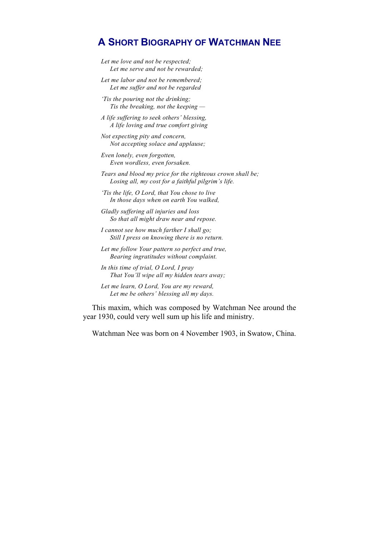# **A SHORT BIOGRAPHY OF WATCHMAN NEE**

*Let me love and not be respected; Let me serve and not be rewarded;* 

*Let me labor and not be remembered; Let me suffer and not be regarded* 

*'Tis the pouring not the drinking; Tis the breaking, not the keeping —* 

*A life suffering to seek others' blessing, A life loving and true comfort giving* 

*Not expecting pity and concern, Not accepting solace and applause;* 

*Even lonely, even forgotten, Even wordless, even forsaken.* 

*Tears and blood my price for the righteous crown shall be; Losing all, my cost for a faithful pilgrim's life.* 

*'Tis the life, O Lord, that You chose to live In those days when on earth You walked,* 

*Gladly suffering all injuries and loss So that all might draw near and repose.* 

*I cannot see how much farther I shall go; Still I press on knowing there is no return.* 

*Let me follow Your pattern so perfect and true, Bearing ingratitudes without complaint.* 

*In this time of trial, O Lord, I pray That You'll wipe all my hidden tears away;* 

*Let me learn, O Lord, You are my reward, Let me be others' blessing all my days.* 

This maxim, which was composed by Watchman Nee around the year 1930, could very well sum up his life and ministry.

Watchman Nee was born on 4 November 1903, in Swatow, China.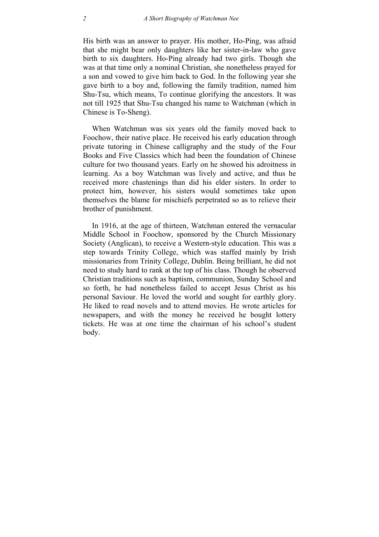His birth was an answer to prayer. His mother, Ho-Ping, was afraid that she might bear only daughters like her sister-in-law who gave birth to six daughters. Ho-Ping already had two girls. Though she was at that time only a nominal Christian, she nonetheless prayed for a son and vowed to give him back to God. In the following year she gave birth to a boy and, following the family tradition, named him Shu-Tsu, which means, To continue glorifying the ancestors. It was not till 1925 that Shu-Tsu changed his name to Watchman (which in Chinese is To-Sheng).

When Watchman was six years old the family moved back to Foochow, their native place. He received his early education through private tutoring in Chinese calligraphy and the study of the Four Books and Five Classics which had been the foundation of Chinese culture for two thousand years. Early on he showed his adroitness in learning. As a boy Watchman was lively and active, and thus he received more chastenings than did his elder sisters. In order to protect him, however, his sisters would sometimes take upon themselves the blame for mischiefs perpetrated so as to relieve their brother of punishment.

In 1916, at the age of thirteen, Watchman entered the vernacular Middle School in Foochow, sponsored by the Church Missionary Society (Anglican), to receive a Western-style education. This was a step towards Trinity College, which was staffed mainly by Irish missionaries from Trinity College, Dublin. Being brilliant, he did not need to study hard to rank at the top of his class. Though he observed Christian traditions such as baptism, communion, Sunday School and so forth, he had nonetheless failed to accept Jesus Christ as his personal Saviour. He loved the world and sought for earthly glory. He liked to read novels and to attend movies. He wrote articles for newspapers, and with the money he received he bought lottery tickets. He was at one time the chairman of his school's student body.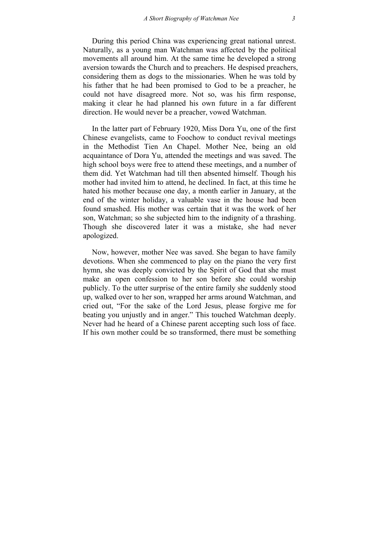During this period China was experiencing great national unrest. Naturally, as a young man Watchman was affected by the political movements all around him. At the same time he developed a strong aversion towards the Church and to preachers. He despised preachers, considering them as dogs to the missionaries. When he was told by his father that he had been promised to God to be a preacher, he could not have disagreed more. Not so, was his firm response, making it clear he had planned his own future in a far different direction. He would never be a preacher, vowed Watchman.

In the latter part of February 1920, Miss Dora Yu, one of the first Chinese evangelists, came to Foochow to conduct revival meetings in the Methodist Tien An Chapel. Mother Nee, being an old acquaintance of Dora Yu, attended the meetings and was saved. The high school boys were free to attend these meetings, and a number of them did. Yet Watchman had till then absented himself. Though his mother had invited him to attend, he declined. In fact, at this time he hated his mother because one day, a month earlier in January, at the end of the winter holiday, a valuable vase in the house had been found smashed. His mother was certain that it was the work of her son, Watchman; so she subjected him to the indignity of a thrashing. Though she discovered later it was a mistake, she had never apologized.

Now, however, mother Nee was saved. She began to have family devotions. When she commenced to play on the piano the very first hymn, she was deeply convicted by the Spirit of God that she must make an open confession to her son before she could worship publicly. To the utter surprise of the entire family she suddenly stood up, walked over to her son, wrapped her arms around Watchman, and cried out, "For the sake of the Lord Jesus, please forgive me for beating you unjustly and in anger." This touched Watchman deeply. Never had he heard of a Chinese parent accepting such loss of face. If his own mother could be so transformed, there must be something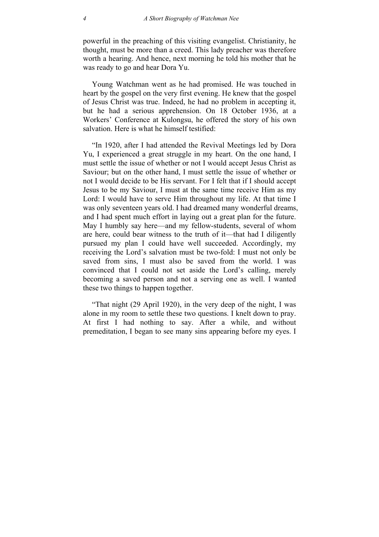powerful in the preaching of this visiting evangelist. Christianity, he thought, must be more than a creed. This lady preacher was therefore worth a hearing. And hence, next morning he told his mother that he was ready to go and hear Dora Yu.

Young Watchman went as he had promised. He was touched in heart by the gospel on the very first evening. He knew that the gospel of Jesus Christ was true. Indeed, he had no problem in accepting it, but he had a serious apprehension. On 18 October 1936, at a Workers' Conference at Kulongsu, he offered the story of his own salvation. Here is what he himself testified:

"In 1920, after I had attended the Revival Meetings led by Dora Yu, I experienced a great struggle in my heart. On the one hand, I must settle the issue of whether or not I would accept Jesus Christ as Saviour; but on the other hand, I must settle the issue of whether or not I would decide to be His servant. For I felt that if I should accept Jesus to be my Saviour, I must at the same time receive Him as my Lord: I would have to serve Him throughout my life. At that time I was only seventeen years old. I had dreamed many wonderful dreams, and I had spent much effort in laying out a great plan for the future. May I humbly say here—and my fellow-students, several of whom are here, could bear witness to the truth of it—that had I diligently pursued my plan I could have well succeeded. Accordingly, my receiving the Lord's salvation must be two-fold: I must not only be saved from sins, I must also be saved from the world. I was convinced that I could not set aside the Lord's calling, merely becoming a saved person and not a serving one as well. I wanted these two things to happen together.

"That night (29 April 1920), in the very deep of the night, I was alone in my room to settle these two questions. I knelt down to pray. At first I had nothing to say. After a while, and without premeditation, I began to see many sins appearing before my eyes. I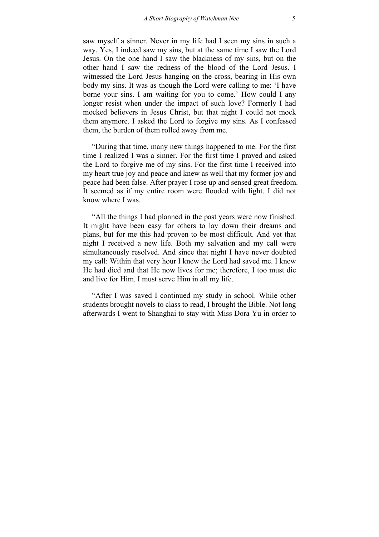saw myself a sinner. Never in my life had I seen my sins in such a way. Yes, I indeed saw my sins, but at the same time I saw the Lord Jesus. On the one hand I saw the blackness of my sins, but on the other hand I saw the redness of the blood of the Lord Jesus. I witnessed the Lord Jesus hanging on the cross, bearing in His own body my sins. It was as though the Lord were calling to me: 'I have borne your sins. I am waiting for you to come.' How could I any longer resist when under the impact of such love? Formerly I had mocked believers in Jesus Christ, but that night I could not mock them anymore. I asked the Lord to forgive my sins. As I confessed them, the burden of them rolled away from me.

"During that time, many new things happened to me. For the first time I realized I was a sinner. For the first time I prayed and asked the Lord to forgive me of my sins. For the first time I received into my heart true joy and peace and knew as well that my former joy and peace had been false. After prayer I rose up and sensed great freedom. It seemed as if my entire room were flooded with light. I did not know where I was.

"All the things I had planned in the past years were now finished. It might have been easy for others to lay down their dreams and plans, but for me this had proven to be most difficult. And yet that night I received a new life. Both my salvation and my call were simultaneously resolved. And since that night I have never doubted my call: Within that very hour I knew the Lord had saved me. I knew He had died and that He now lives for me; therefore, I too must die and live for Him. I must serve Him in all my life.

"After I was saved I continued my study in school. While other students brought novels to class to read, I brought the Bible. Not long afterwards I went to Shanghai to stay with Miss Dora Yu in order to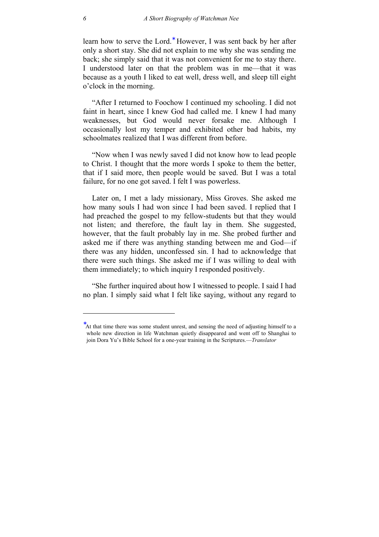learn how to serve the Lord.<sup>\*</sup> However, I was sent back by her after only a short stay. She did not explain to me why she was sending me back; she simply said that it was not convenient for me to stay there. I understood later on that the problem was in me—that it was because as a youth I liked to [ea](#page-5-0)t well, dress well, and sleep till eight o'clock in the morning.

"After I returned to Foochow I continued my schooling. I did not faint in heart, since I knew God had called me. I knew I had many weaknesses, but God would never forsake me. Although I occasionally lost my temper and exhibited other bad habits, my schoolmates realized that I was different from before.

"Now when I was newly saved I did not know how to lead people to Christ. I thought that the more words I spoke to them the better, that if I said more, then people would be saved. But I was a total failure, for no one got saved. I felt I was powerless.

Later on, I met a lady missionary, Miss Groves. She asked me how many souls I had won since I had been saved. I replied that I had preached the gospel to my fellow-students but that they would not listen; and therefore, the fault lay in them. She suggested, however, that the fault probably lay in me. She probed further and asked me if there was anything standing between me and God—if there was any hidden, unconfessed sin. I had to acknowledge that there were such things. She asked me if I was willing to deal with them immediately; to which inquiry I responded positively.

"She further inquired about how I witnessed to people. I said I had no plan. I simply said what I felt like saying, without any regard to

 $\overline{a}$ 

<span id="page-5-0"></span><sup>∗</sup> At that time there was some student unrest, and sensing the need of adjusting himself to a whole new direction in life Watchman quietly disappeared and went off to Shanghai to join Dora Yu's Bible School for a one-year training in the Scriptures.—*Translator*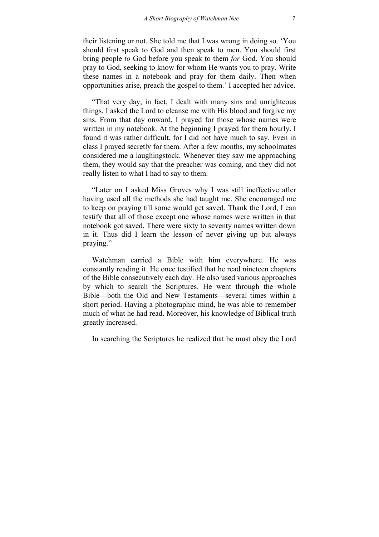their listening or not. She told me that I was wrong in doing so. 'You should first speak to God and then speak to men. You should first bring people *to* God before you speak to them *for* God. You should pray to God, seeking to know for whom He wants you to pray. Write these names in a notebook and pray for them daily. Then when opportunities arise, preach the gospel to them.' I accepted her advice.

"That very day, in fact, I dealt with many sins and unrighteous things. I asked the Lord to cleanse me with His blood and forgive my sins. From that day onward, I prayed for those whose names were written in my notebook. At the beginning I prayed for them hourly. I found it was rather difficult, for I did not have much to say. Even in class I prayed secretly for them. After a few months, my schoolmates considered me a laughingstock. Whenever they saw me approaching them, they would say that the preacher was coming, and they did not really listen to what I had to say to them.

"Later on I asked Miss Groves why I was still ineffective after having used all the methods she had taught me. She encouraged me to keep on praying till some would get saved. Thank the Lord, I can testify that all of those except one whose names were written in that notebook got saved. There were sixty to seventy names written down in it. Thus did I learn the lesson of never giving up but always praying."

Watchman carried a Bible with him everywhere. He was constantly reading it. He once testified that he read nineteen chapters of the Bible consecutively each day. He also used various approaches by which to search the Scriptures. He went through the whole Bible—both the Old and New Testaments—several times within a short period. Having a photographic mind, he was able to remember much of what he had read. Moreover, his knowledge of Biblical truth greatly increased.

In searching the Scriptures he realized that he must obey the Lord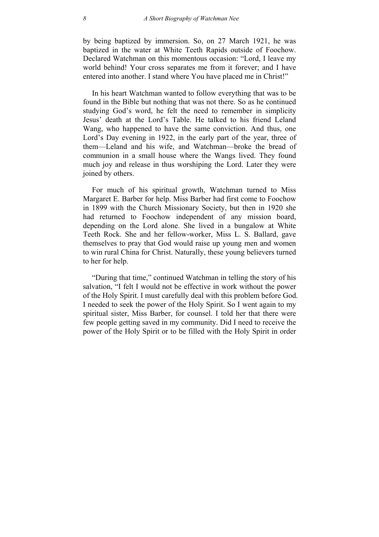by being baptized by immersion. So, on 27 March 1921, he was baptized in the water at White Teeth Rapids outside of Foochow. Declared Watchman on this momentous occasion: "Lord, I leave my world behind! Your cross separates me from it forever; and I have entered into another. I stand where You have placed me in Christ!"

In his heart Watchman wanted to follow everything that was to be found in the Bible but nothing that was not there. So as he continued studying God's word, he felt the need to remember in simplicity Jesus' death at the Lord's Table. He talked to his friend Leland Wang, who happened to have the same conviction. And thus, one Lord's Day evening in 1922, in the early part of the year, three of them—Leland and his wife, and Watchman—broke the bread of communion in a small house where the Wangs lived. They found much joy and release in thus worshiping the Lord. Later they were joined by others.

For much of his spiritual growth, Watchman turned to Miss Margaret E. Barber for help. Miss Barber had first come to Foochow in 1899 with the Church Missionary Society, but then in 1920 she had returned to Foochow independent of any mission board, depending on the Lord alone. She lived in a bungalow at White Teeth Rock. She and her fellow-worker, Miss L. S. Ballard, gave themselves to pray that God would raise up young men and women to win rural China for Christ. Naturally, these young believers turned to her for help.

"During that time," continued Watchman in telling the story of his salvation, "I felt I would not be effective in work without the power of the Holy Spirit. I must carefully deal with this problem before God. I needed to seek the power of the Holy Spirit. So I went again to my spiritual sister, Miss Barber, for counsel. I told her that there were few people getting saved in my community. Did I need to receive the power of the Holy Spirit or to be filled with the Holy Spirit in order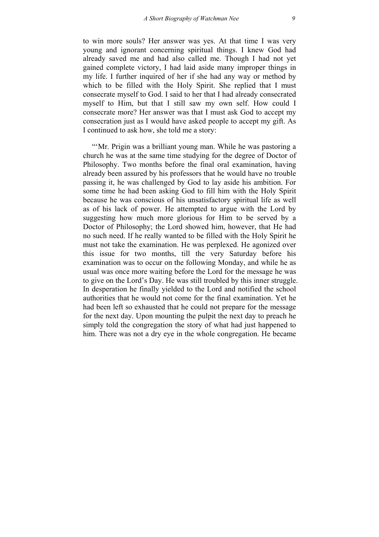to win more souls? Her answer was yes. At that time I was very young and ignorant concerning spiritual things. I knew God had already saved me and had also called me. Though I had not yet gained complete victory, I had laid aside many improper things in my life. I further inquired of her if she had any way or method by which to be filled with the Holy Spirit. She replied that I must consecrate myself to God. I said to her that I had already consecrated myself to Him, but that I still saw my own self. How could I consecrate more? Her answer was that I must ask God to accept my consecration just as I would have asked people to accept my gift. As I continued to ask how, she told me a story:

"'Mr. Prigin was a brilliant young man. While he was pastoring a church he was at the same time studying for the degree of Doctor of Philosophy. Two months before the final oral examination, having already been assured by his professors that he would have no trouble passing it, he was challenged by God to lay aside his ambition. For some time he had been asking God to fill him with the Holy Spirit because he was conscious of his unsatisfactory spiritual life as well as of his lack of power. He attempted to argue with the Lord by suggesting how much more glorious for Him to be served by a Doctor of Philosophy; the Lord showed him, however, that He had no such need. If he really wanted to be filled with the Holy Spirit he must not take the examination. He was perplexed. He agonized over this issue for two months, till the very Saturday before his examination was to occur on the following Monday, and while he as usual was once more waiting before the Lord for the message he was to give on the Lord's Day. He was still troubled by this inner struggle. In desperation he finally yielded to the Lord and notified the school authorities that he would not come for the final examination. Yet he had been left so exhausted that he could not prepare for the message for the next day. Upon mounting the pulpit the next day to preach he simply told the congregation the story of what had just happened to him. There was not a dry eye in the whole congregation. He became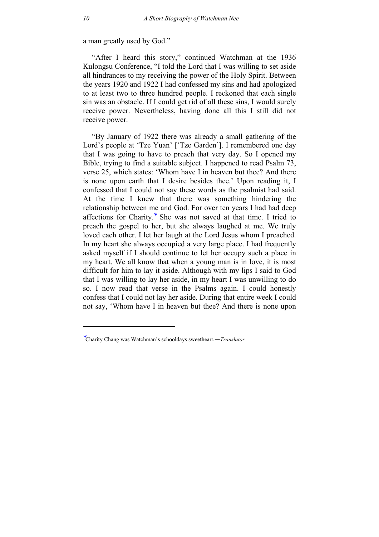a man greatly used by God."

"After I heard this story," continued Watchman at the 1936 Kulongsu Conference, "I told the Lord that I was willing to set aside all hindrances to my receiving the power of the Holy Spirit. Between the years 1920 and 1922 I had confessed my sins and had apologized to at least two to three hundred people. I reckoned that each single sin was an obstacle. If I could get rid of all these sins, I would surely receive power. Nevertheless, having done all this I still did not receive power.

"By January of 1922 there was already a small gathering of the Lord's people at 'Tze Yuan' ['Tze Garden']. I remembered one day that I was going to have to preach that very day. So I opened my Bible, trying to find a suitable subject. I happened to read Psalm 73, verse 25, which states: 'Whom have I in heaven but thee? And there is none upon earth that I desire besides thee.' Upon reading it, I confessed that I could not say these words as the psalmist had said. At the time I knew that there was something hindering the relationship between me and God. For over ten years I had had deep affections for Charity.<sup>∗</sup> She was not saved at that time. I tried to preach the gospel to her, but she always laughed at me. We truly loved each other. I let her laugh at the Lord Jesus whom I preached. In my heart she always [oc](#page-9-0)cupied a very large place. I had frequently asked myself if I should continue to let her occupy such a place in my heart. We all know that when a young man is in love, it is most difficult for him to lay it aside. Although with my lips I said to God that I was willing to lay her aside, in my heart I was unwilling to do so. I now read that verse in the Psalms again. I could honestly confess that I could not lay her aside. During that entire week I could not say, 'Whom have I in heaven but thee? And there is none upon

 $\overline{a}$ 

<span id="page-9-0"></span><sup>∗</sup> Charity Chang was Watchman's schooldays sweetheart.—*Translator*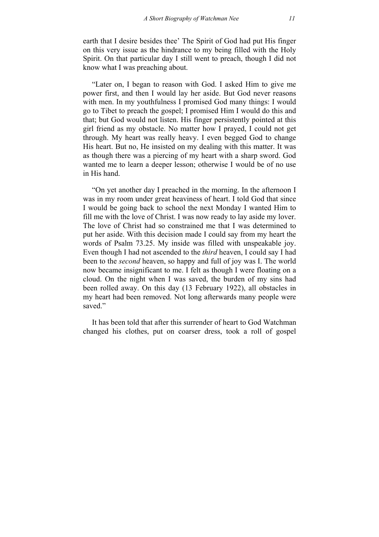earth that I desire besides thee' The Spirit of God had put His finger on this very issue as the hindrance to my being filled with the Holy Spirit. On that particular day I still went to preach, though I did not know what I was preaching about.

"Later on, I began to reason with God. I asked Him to give me power first, and then I would lay her aside. But God never reasons with men. In my youthfulness I promised God many things: I would go to Tibet to preach the gospel; I promised Him I would do this and that; but God would not listen. His finger persistently pointed at this girl friend as my obstacle. No matter how I prayed, I could not get through. My heart was really heavy. I even begged God to change His heart. But no, He insisted on my dealing with this matter. It was as though there was a piercing of my heart with a sharp sword. God wanted me to learn a deeper lesson; otherwise I would be of no use in His hand.

"On yet another day I preached in the morning. In the afternoon I was in my room under great heaviness of heart. I told God that since I would be going back to school the next Monday I wanted Him to fill me with the love of Christ. I was now ready to lay aside my lover. The love of Christ had so constrained me that I was determined to put her aside. With this decision made I could say from my heart the words of Psalm 73.25. My inside was filled with unspeakable joy. Even though I had not ascended to the *third* heaven, I could say I had been to the *second* heaven, so happy and full of joy was I. The world now became insignificant to me. I felt as though I were floating on a cloud. On the night when I was saved, the burden of my sins had been rolled away. On this day (13 February 1922), all obstacles in my heart had been removed. Not long afterwards many people were saved."

It has been told that after this surrender of heart to God Watchman changed his clothes, put on coarser dress, took a roll of gospel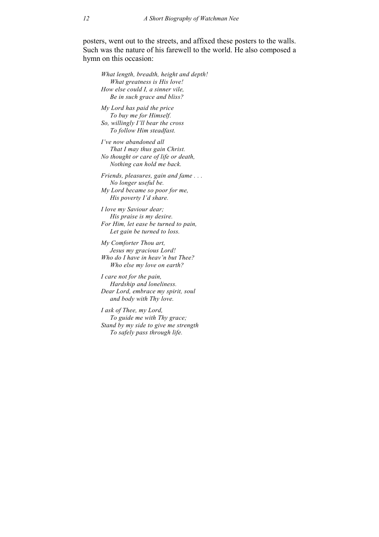posters, went out to the streets, and affixed these posters to the walls. Such was the nature of his farewell to the world. He also composed a hymn on this occasion:

*What length, breadth, height and depth! What greatness is His love! How else could I, a sinner vile, Be in such grace and bliss?* 

*My Lord has paid the price To buy me for Himself. So, willingly I'll bear the cross To follow Him steadfast.* 

*I've now abandoned all That I may thus gain Christ. No thought or care of life or death, Nothing can hold me back.* 

*Friends, pleasures, gain and fame . . . No longer useful be. My Lord became so poor for me, His poverty I'd share.* 

*I love my Saviour dear; His praise is my desire. For Him, let ease be turned to pain, Let gain be turned to loss.* 

*My Comforter Thou art, Jesus my gracious Lord! Who do I have in heav'n but Thee? Who else my love on earth?* 

*I care not for the pain, Hardship and loneliness. Dear Lord, embrace my spirit, soul and body with Thy love.* 

*I ask of Thee, my Lord, To guide me with Thy grace; Stand by my side to give me strength To safely pass through life.*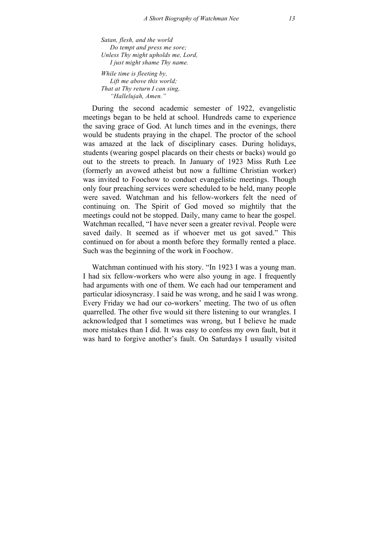*Satan, flesh, and the world Do tempt and press me sore; Unless Thy might upholds me, Lord, I just might shame Thy name.* 

*While time is fleeting by, Lift me above this world; That at Thy return I can sing, "Hallelujah, Amen."* 

During the second academic semester of 1922, evangelistic meetings began to be held at school. Hundreds came to experience the saving grace of God. At lunch times and in the evenings, there would be students praying in the chapel. The proctor of the school was amazed at the lack of disciplinary cases. During holidays, students (wearing gospel placards on their chests or backs) would go out to the streets to preach. In January of 1923 Miss Ruth Lee (formerly an avowed atheist but now a fulltime Christian worker) was invited to Foochow to conduct evangelistic meetings. Though only four preaching services were scheduled to be held, many people were saved. Watchman and his fellow-workers felt the need of continuing on. The Spirit of God moved so mightily that the meetings could not be stopped. Daily, many came to hear the gospel. Watchman recalled, "I have never seen a greater revival. People were saved daily. It seemed as if whoever met us got saved." This continued on for about a month before they formally rented a place. Such was the beginning of the work in Foochow.

Watchman continued with his story. "In 1923 I was a young man. I had six fellow-workers who were also young in age. I frequently had arguments with one of them. We each had our temperament and particular idiosyncrasy. I said he was wrong, and he said I was wrong. Every Friday we had our co-workers' meeting. The two of us often quarrelled. The other five would sit there listening to our wrangles. I acknowledged that I sometimes was wrong, but I believe he made more mistakes than I did. It was easy to confess my own fault, but it was hard to forgive another's fault. On Saturdays I usually visited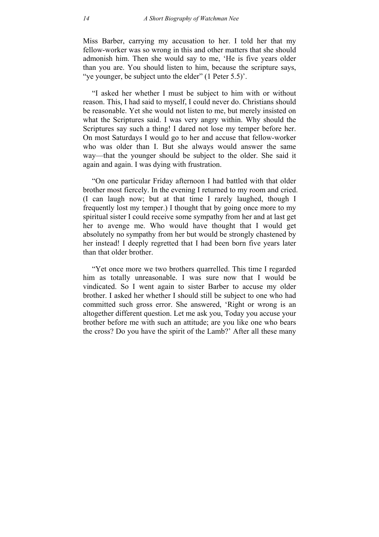Miss Barber, carrying my accusation to her. I told her that my fellow-worker was so wrong in this and other matters that she should admonish him. Then she would say to me, 'He is five years older than you are. You should listen to him, because the scripture says, "ve younger, be subject unto the elder" (1 Peter 5.5)'.

"I asked her whether I must be subject to him with or without reason. This, I had said to myself, I could never do. Christians should be reasonable. Yet she would not listen to me, but merely insisted on what the Scriptures said. I was very angry within. Why should the Scriptures say such a thing! I dared not lose my temper before her. On most Saturdays I would go to her and accuse that fellow-worker who was older than I. But she always would answer the same way—that the younger should be subject to the older. She said it again and again. I was dying with frustration.

"On one particular Friday afternoon I had battled with that older brother most fiercely. In the evening I returned to my room and cried. (I can laugh now; but at that time I rarely laughed, though I frequently lost my temper.) I thought that by going once more to my spiritual sister I could receive some sympathy from her and at last get her to avenge me. Who would have thought that I would get absolutely no sympathy from her but would be strongly chastened by her instead! I deeply regretted that I had been born five years later than that older brother.

"Yet once more we two brothers quarrelled. This time I regarded him as totally unreasonable. I was sure now that I would be vindicated. So I went again to sister Barber to accuse my older brother. I asked her whether I should still be subject to one who had committed such gross error. She answered, 'Right or wrong is an altogether different question. Let me ask you, Today you accuse your brother before me with such an attitude; are you like one who bears the cross? Do you have the spirit of the Lamb?' After all these many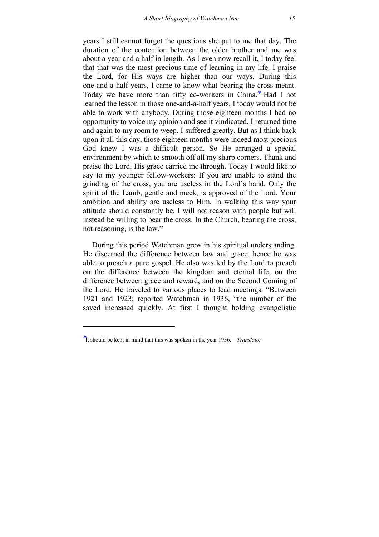years I still cannot forget the questions she put to me that day. The duration of the contention between the older brother and me was about a year and a half in length. As I even now recall it, I today feel that that was the most precious time of learning in my life. I praise the Lord, for His ways are higher than our ways. During this one-and-a-half years, I came to know what bearing the cross meant. Today we have more than fifty co-workers in China.<sup>\*</sup> Had I not learned the lesson in those one-and-a-half years, I today would not be able to work with anybody. During those eighteen months I had no opportunity to voice my opinion and see it vindicated. I returned time and again to my room to weep. I suffered greatly. But as I [th](#page-14-0)ink back upon it all this day, those eighteen months were indeed most precious. God knew I was a difficult person. So He arranged a special environment by which to smooth off all my sharp corners. Thank and praise the Lord, His grace carried me through. Today I would like to say to my younger fellow-workers: If you are unable to stand the grinding of the cross, you are useless in the Lord's hand. Only the spirit of the Lamb, gentle and meek, is approved of the Lord. Your ambition and ability are useless to Him. In walking this way your attitude should constantly be, I will not reason with people but will instead be willing to bear the cross. In the Church, bearing the cross, not reasoning, is the law."

During this period Watchman grew in his spiritual understanding. He discerned the difference between law and grace, hence he was able to preach a pure gospel. He also was led by the Lord to preach on the difference between the kingdom and eternal life, on the difference between grace and reward, and on the Second Coming of the Lord. He traveled to various places to lead meetings. "Between 1921 and 1923; reported Watchman in 1936, "the number of the saved increased quickly. At first I thought holding evangelistic

 $\overline{a}$ 

<span id="page-14-0"></span><sup>∗</sup> It should be kept in mind that this was spoken in the year 1936.—*Translator*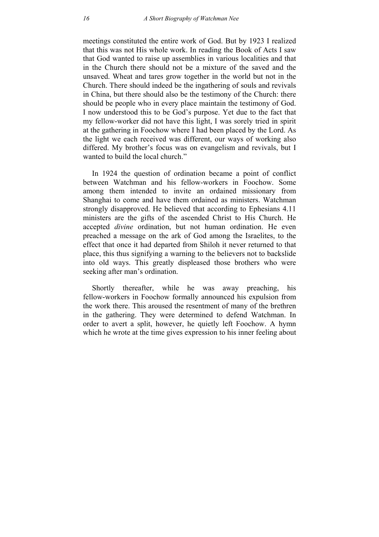meetings constituted the entire work of God. But by 1923 I realized that this was not His whole work. In reading the Book of Acts I saw that God wanted to raise up assemblies in various localities and that in the Church there should not be a mixture of the saved and the unsaved. Wheat and tares grow together in the world but not in the Church. There should indeed be the ingathering of souls and revivals in China, but there should also be the testimony of the Church: there should be people who in every place maintain the testimony of God. I now understood this to be God's purpose. Yet due to the fact that my fellow-worker did not have this light, I was sorely tried in spirit at the gathering in Foochow where I had been placed by the Lord. As the light we each received was different, our ways of working also differed. My brother's focus was on evangelism and revivals, but I wanted to build the local church."

In 1924 the question of ordination became a point of conflict between Watchman and his fellow-workers in Foochow. Some among them intended to invite an ordained missionary from Shanghai to come and have them ordained as ministers. Watchman strongly disapproved. He believed that according to Ephesians 4.11 ministers are the gifts of the ascended Christ to His Church. He accepted *divine* ordination, but not human ordination. He even preached a message on the ark of God among the Israelites, to the effect that once it had departed from Shiloh it never returned to that place, this thus signifying a warning to the believers not to backslide into old ways. This greatly displeased those brothers who were seeking after man's ordination.

Shortly thereafter, while he was away preaching, his fellow-workers in Foochow formally announced his expulsion from the work there. This aroused the resentment of many of the brethren in the gathering. They were determined to defend Watchman. In order to avert a split, however, he quietly left Foochow. A hymn which he wrote at the time gives expression to his inner feeling about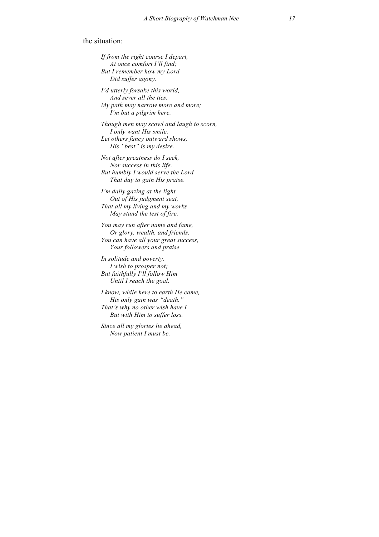## the situation:

*If from the right course I depart, At once comfort I'll find; But I remember how my Lord Did suffer agony. I'd utterly forsake this world, And sever all the ties. My path may narrow more and more; I'm but a pilgrim here. Though men may scowl and laugh to scorn, I only want His smile. Let others fancy outward shows, His "best" is my desire. Not after greatness do I seek, Nor success in this life. But humbly I would serve the Lord That day to gain His praise. I'm daily gazing at the light Out of His judgment seat, That all my living and my works May stand the test of fire. You may run after name and fame, Or glory, wealth, and friends. You can have all your great success, Your followers and praise. In solitude and poverty, I wish to prosper not; But faithfully I'll follow Him Until I reach the goal. I know, while here to earth He came, His only gain was "death." That's why no other wish have I But with Him to suffer loss. Since all my glories lie ahead, Now patient I must be.*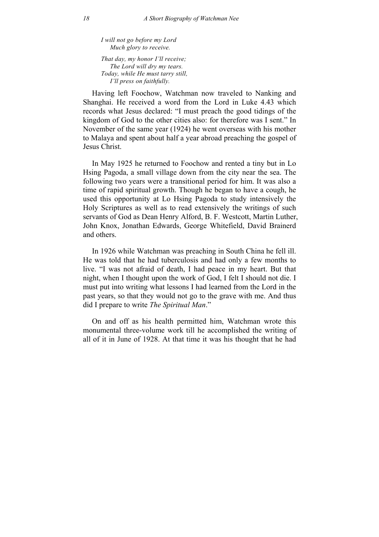*I will not go before my Lord Much glory to receive.* 

*That day, my honor I'll receive; The Lord will dry my tears. Today, while He must tarry still, I'll press on faithfully.* 

Having left Foochow, Watchman now traveled to Nanking and Shanghai. He received a word from the Lord in Luke 4.43 which records what Jesus declared: "I must preach the good tidings of the kingdom of God to the other cities also: for therefore was I sent." In November of the same year (1924) he went overseas with his mother to Malaya and spent about half a year abroad preaching the gospel of Jesus Christ.

In May 1925 he returned to Foochow and rented a tiny but in Lo Hsing Pagoda, a small village down from the city near the sea. The following two years were a transitional period for him. It was also a time of rapid spiritual growth. Though he began to have a cough, he used this opportunity at Lo Hsing Pagoda to study intensively the Holy Scriptures as well as to read extensively the writings of such servants of God as Dean Henry Alford, B. F. Westcott, Martin Luther, John Knox, Jonathan Edwards, George Whitefield, David Brainerd and others.

In 1926 while Watchman was preaching in South China he fell ill. He was told that he had tuberculosis and had only a few months to live. "I was not afraid of death, I had peace in my heart. But that night, when I thought upon the work of God, I felt I should not die. I must put into writing what lessons I had learned from the Lord in the past years, so that they would not go to the grave with me. And thus did I prepare to write *The Spiritual Man*."

On and off as his health permitted him, Watchman wrote this monumental three-volume work till he accomplished the writing of all of it in June of 1928. At that time it was his thought that he had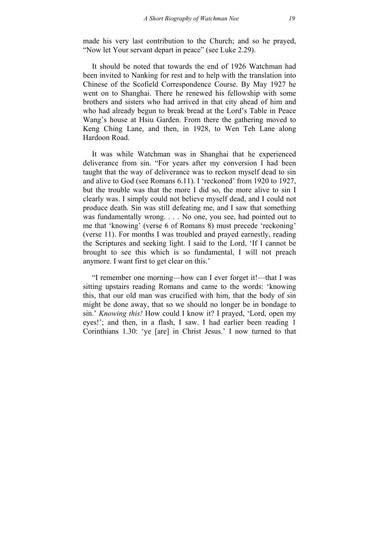made his very last contribution to the Church; and so he prayed, "Now let Your servant depart in peace" (see Luke 2.29).

It should be noted that towards the end of 1926 Watchman had been invited to Nanking for rest and to help with the translation into Chinese of the Scofield Correspondence Course. By May 1927 he went on to Shanghai. There he renewed his fellowship with some brothers and sisters who had arrived in that city ahead of him and who had already begun to break bread at the Lord's Table in Peace Wang's house at Hsiu Garden. From there the gathering moved to Keng Ching Lane, and then, in 1928, to Wen Teh Lane along Hardoon Road.

It was while Watchman was in Shanghai that he experienced deliverance from sin. "For years after my conversion I had been taught that the way of deliverance was to reckon myself dead to sin and alive to God (see Romans 6.11). I 'reckoned' from 1920 to 1927, but the trouble was that the more I did so, the more alive to sin I clearly was. I simply could not believe myself dead, and I could not produce death. Sin was still defeating me, and I saw that something was fundamentally wrong. . . . No one, you see, had pointed out to me that 'knowing' (verse 6 of Romans 8) must precede 'reckoning' (verse 11). For months I was troubled and prayed earnestly, reading the Scriptures and seeking light. I said to the Lord, 'If I cannot be brought to see this which is so fundamental, I will not preach anymore. I want first to get clear on this.'

"I remember one morning—how can I ever forget it!—that I was sitting upstairs reading Romans and came to the words: 'knowing this, that our old man was crucified with him, that the body of sin might be done away, that so we should no longer be in bondage to sin.' *Knowing this!* How could I know it? I prayed, 'Lord, open my eyes!'; and then, in a flash, I saw. I had earlier been reading 1 Corinthians 1.30: 'ye [are] in Christ Jesus.' I now turned to that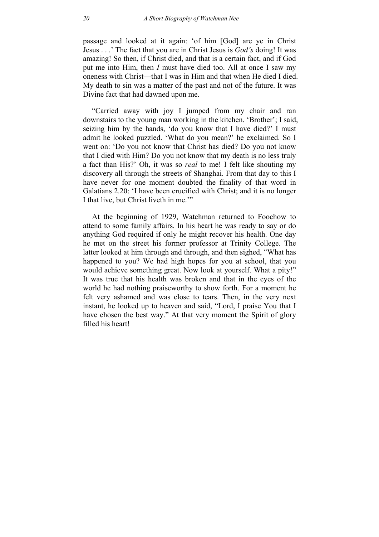passage and looked at it again: 'of him [God] are ye in Christ Jesus . . .' The fact that you are in Christ Jesus is *God's* doing! It was amazing! So then, if Christ died, and that is a certain fact, and if God put me into Him, then *I* must have died too. All at once I saw my oneness with Christ—that I was in Him and that when He died I died. My death to sin was a matter of the past and not of the future. It was Divine fact that had dawned upon me.

"Carried away with joy I jumped from my chair and ran downstairs to the young man working in the kitchen. 'Brother'; I said, seizing him by the hands, 'do you know that I have died?' I must admit he looked puzzled. 'What do you mean?' he exclaimed. So I went on: 'Do you not know that Christ has died? Do you not know that I died with Him? Do you not know that my death is no less truly a fact than His?' Oh, it was so *real* to me! I felt like shouting my discovery all through the streets of Shanghai. From that day to this I have never for one moment doubted the finality of that word in Galatians 2.20: 'I have been crucified with Christ; and it is no longer I that live, but Christ liveth in me.'"

At the beginning of 1929, Watchman returned to Foochow to attend to some family affairs. In his heart he was ready to say or do anything God required if only he might recover his health. One day he met on the street his former professor at Trinity College. The latter looked at him through and through, and then sighed, "What has happened to you? We had high hopes for you at school, that you would achieve something great. Now look at yourself. What a pity!" It was true that his health was broken and that in the eyes of the world he had nothing praiseworthy to show forth. For a moment he felt very ashamed and was close to tears. Then, in the very next instant, he looked up to heaven and said, "Lord, I praise You that I have chosen the best way." At that very moment the Spirit of glory filled his heart!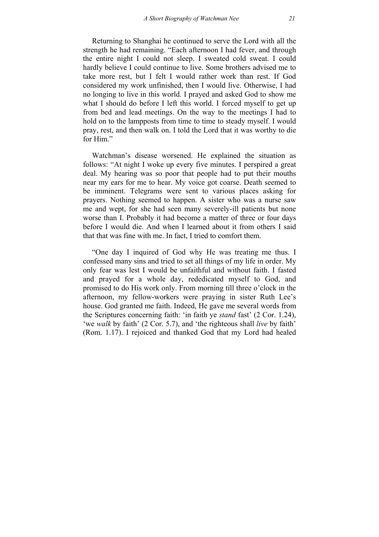Returning to Shanghai he continued to serve the Lord with all the strength he had remaining. "Each afternoon I had fever, and through the entire night I could not sleep. I sweated cold sweat. I could hardly believe I could continue to live. Some brothers advised me to take more rest, but I felt I would rather work than rest. If God considered my work unfinished, then I would live. Otherwise, I had no longing to live in this world. I prayed and asked God to show me what I should do before I left this world. I forced myself to get up from bed and lead meetings. On the way to the meetings I had to hold on to the lampposts from time to time to steady myself. I would pray, rest, and then walk on. I told the Lord that it was worthy to die for Him"

Watchman's disease worsened. He explained the situation as follows: "At night I woke up every five minutes. I perspired a great deal. My hearing was so poor that people had to put their mouths near my ears for me to hear. My voice got coarse. Death seemed to be imminent. Telegrams were sent to various places asking for prayers. Nothing seemed to happen. A sister who was a nurse saw me and wept, for she had seen many severely-ill patients but none worse than I. Probably it had become a matter of three or four days before I would die. And when I learned about it from others I said that that was fine with me. In fact, I tried to comfort them.

"One day I inquired of God why He was treating me thus. I confessed many sins and tried to set all things of my life in order. My only fear was lest I would be unfaithful and without faith. I fasted and prayed for a whole day, rededicated myself to God, and promised to do His work only. From morning till three o'clock in the afternoon, my fellow-workers were praying in sister Ruth Lee's house. God granted me faith. Indeed, He gave me several words from the Scriptures concerning faith: 'in faith ye *stand* fast' (2 Cor. 1.24), 'we *walk* by faith' (2 Cor. 5.7), and 'the righteous shall *live* by faith' (Rom. 1.17). I rejoiced and thanked God that my Lord had healed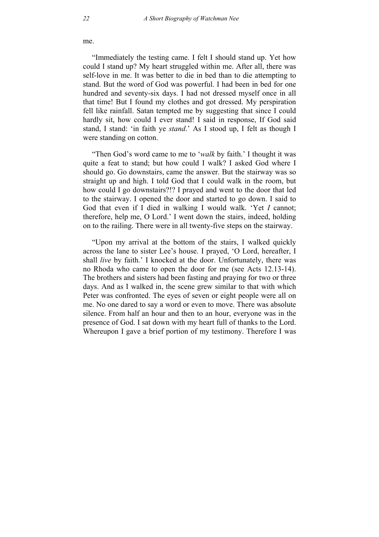me.

"Immediately the testing came. I felt I should stand up. Yet how could I stand up? My heart struggled within me. After all, there was self-love in me. It was better to die in bed than to die attempting to stand. But the word of God was powerful. I had been in bed for one hundred and seventy-six days. I had not dressed myself once in all that time! But I found my clothes and got dressed. My perspiration fell like rainfall. Satan tempted me by suggesting that since I could hardly sit, how could I ever stand! I said in response, If God said stand, I stand: 'in faith ye *stand*.' As I stood up, I felt as though I were standing on cotton.

"Then God's word came to me to '*walk* by faith.' I thought it was quite a feat to stand; but how could I walk? I asked God where I should go. Go downstairs, came the answer. But the stairway was so straight up and high. I told God that I could walk in the room, but how could I go downstairs?!? I prayed and went to the door that led to the stairway. I opened the door and started to go down. I said to God that even if I died in walking I would walk. 'Yet *I* cannot; therefore, help me, O Lord.' I went down the stairs, indeed, holding on to the railing. There were in all twenty-five steps on the stairway.

"Upon my arrival at the bottom of the stairs, I walked quickly across the lane to sister Lee's house. I prayed, 'O Lord, hereafter, I shall *live* by faith.' I knocked at the door. Unfortunately, there was no Rhoda who came to open the door for me (see Acts 12.13-14). The brothers and sisters had been fasting and praying for two or three days. And as I walked in, the scene grew similar to that with which Peter was confronted. The eyes of seven or eight people were all on me. No one dared to say a word or even to move. There was absolute silence. From half an hour and then to an hour, everyone was in the presence of God. I sat down with my heart full of thanks to the Lord. Whereupon I gave a brief portion of my testimony. Therefore I was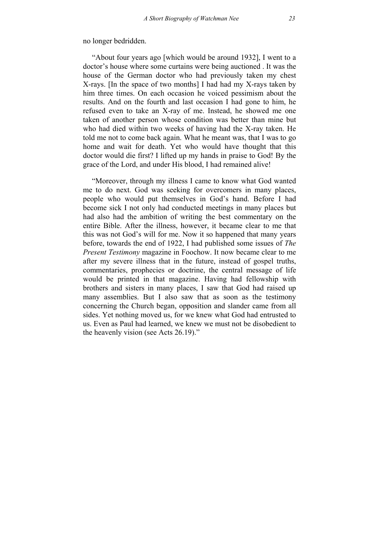no longer bedridden.

"About four years ago [which would be around 1932], I went to a doctor's house where some curtains were being auctioned . It was the house of the German doctor who had previously taken my chest X-rays. [In the space of two months] I had had my X-rays taken by him three times. On each occasion he voiced pessimism about the results. And on the fourth and last occasion I had gone to him, he refused even to take an X-ray of me. Instead, he showed me one taken of another person whose condition was better than mine but who had died within two weeks of having had the X-ray taken. He told me not to come back again. What he meant was, that I was to go home and wait for death. Yet who would have thought that this doctor would die first? I lifted up my hands in praise to God! By the grace of the Lord, and under His blood, I had remained alive!

"Moreover, through my illness I came to know what God wanted me to do next. God was seeking for overcomers in many places, people who would put themselves in God's hand. Before I had become sick I not only had conducted meetings in many places but had also had the ambition of writing the best commentary on the entire Bible. After the illness, however, it became clear to me that this was not God's will for me. Now it so happened that many years before, towards the end of 1922, I had published some issues of *The Present Testimony* magazine in Foochow. It now became clear to me after my severe illness that in the future, instead of gospel truths, commentaries, prophecies or doctrine, the central message of life would be printed in that magazine. Having had fellowship with brothers and sisters in many places, I saw that God had raised up many assemblies. But I also saw that as soon as the testimony concerning the Church began, opposition and slander came from all sides. Yet nothing moved us, for we knew what God had entrusted to us. Even as Paul had learned, we knew we must not be disobedient to the heavenly vision (see Acts 26.19)."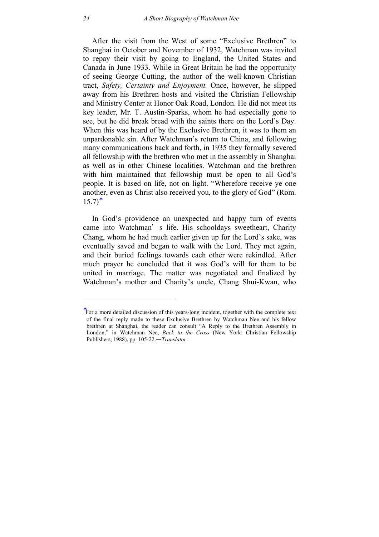After the visit from the West of some "Exclusive Brethren" to Shanghai in October and November of 1932, Watchman was invited to repay their visit by going to England, the United States and Canada in June 1933. While in Great Britain he had the opportunity of seeing George Cutting, the author of the well-known Christian tract, *Safety, Certainty and Enjoyment.* Once, however, he slipped away from his Brethren hosts and visited the Christian Fellowship and Ministry Center at Honor Oak Road, London. He did not meet its key leader, Mr. T. Austin-Sparks, whom he had especially gone to see, but he did break bread with the saints there on the Lord's Day. When this was heard of by the Exclusive Brethren, it was to them an unpardonable sin. After Watchman's return to China, and following many communications back and forth, in 1935 they formally severed all fellowship with the brethren who met in the assembly in Shanghai as well as in other Chinese localities. Watchman and the brethren with him maintained that fellowship must be open to all God's people. It is based on life, not on light. "Wherefore receive ye one another, even as Christ also received you, to the glory of God" (Rom.  $15.7$ <sup>\*</sup>

In God's providence an unexpected and happy turn of events came [in](#page-23-0)to Watchman's life. His schooldays sweetheart, Charity Chang, whom he had much earlier given up for the Lord's sake, was eventually saved and began to walk with the Lord. They met again, and their buried feelings towards each other were rekindled. After much prayer he concluded that it was God's will for them to be united in marriage. The matter was negotiated and finalized by Watchman's mother and Charity's uncle, Chang Shui-Kwan, who

 $\overline{a}$ 

<span id="page-23-0"></span><sup>∗</sup> For a more detailed discussion of this years-long incident, together with the complete text of the final reply made to these Exclusive Brethren by Watchman Nee and his fellow brethren at Shanghai, the reader can consult "A Reply to the Brethren Assembly in London," in Watchman Nee, *Back to the Cross* (New York: Christian Fellowship Publishers, 1988), pp. 105-22.—*Translator*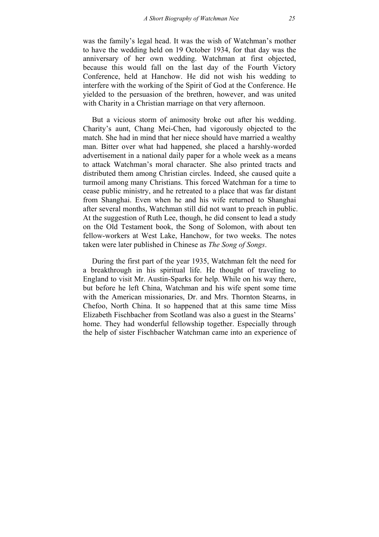was the family's legal head. It was the wish of Watchman's mother to have the wedding held on 19 October 1934, for that day was the anniversary of her own wedding. Watchman at first objected, because this would fall on the last day of the Fourth Victory Conference, held at Hanchow. He did not wish his wedding to interfere with the working of the Spirit of God at the Conference. He yielded to the persuasion of the brethren, however, and was united with Charity in a Christian marriage on that very afternoon.

But a vicious storm of animosity broke out after his wedding. Charity's aunt, Chang Mei-Chen, had vigorously objected to the match. She had in mind that her niece should have married a wealthy man. Bitter over what had happened, she placed a harshly-worded advertisement in a national daily paper for a whole week as a means to attack Watchman's moral character. She also printed tracts and distributed them among Christian circles. Indeed, she caused quite a turmoil among many Christians. This forced Watchman for a time to cease public ministry, and he retreated to a place that was far distant from Shanghai. Even when he and his wife returned to Shanghai after several months, Watchman still did not want to preach in public. At the suggestion of Ruth Lee, though, he did consent to lead a study on the Old Testament book, the Song of Solomon, with about ten fellow-workers at West Lake, Hanchow, for two weeks. The notes taken were later published in Chinese as *The Song of Songs*.

During the first part of the year 1935, Watchman felt the need for a breakthrough in his spiritual life. He thought of traveling to England to visit Mr. Austin-Sparks for help. While on his way there, but before he left China, Watchman and his wife spent some time with the American missionaries, Dr. and Mrs. Thornton Stearns, in Chefoo, North China. It so happened that at this same time Miss Elizabeth Fischbacher from Scotland was also a guest in the Stearns' home. They had wonderful fellowship together. Especially through the help of sister Fischbacher Watchman came into an experience of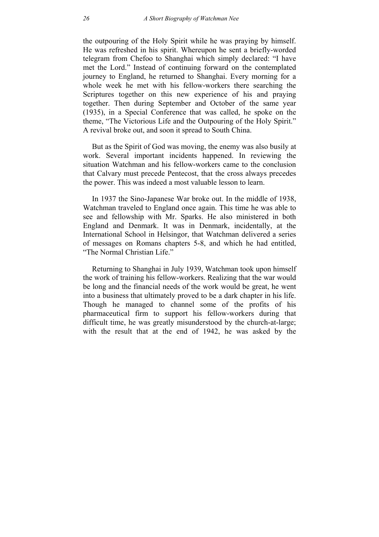the outpouring of the Holy Spirit while he was praying by himself. He was refreshed in his spirit. Whereupon he sent a briefly-worded telegram from Chefoo to Shanghai which simply declared: "I have met the Lord." Instead of continuing forward on the contemplated journey to England, he returned to Shanghai. Every morning for a whole week he met with his fellow-workers there searching the Scriptures together on this new experience of his and praying together. Then during September and October of the same year (1935), in a Special Conference that was called, he spoke on the theme, "The Victorious Life and the Outpouring of the Holy Spirit." A revival broke out, and soon it spread to South China.

But as the Spirit of God was moving, the enemy was also busily at work. Several important incidents happened. In reviewing the situation Watchman and his fellow-workers came to the conclusion that Calvary must precede Pentecost, that the cross always precedes the power. This was indeed a most valuable lesson to learn.

In 1937 the Sino-Japanese War broke out. In the middle of 1938, Watchman traveled to England once again. This time he was able to see and fellowship with Mr. Sparks. He also ministered in both England and Denmark. It was in Denmark, incidentally, at the International School in Helsingor, that Watchman delivered a series of messages on Romans chapters 5-8, and which he had entitled, "The Normal Christian Life."

Returning to Shanghai in July 1939, Watchman took upon himself the work of training his fellow-workers. Realizing that the war would be long and the financial needs of the work would be great, he went into a business that ultimately proved to be a dark chapter in his life. Though he managed to channel some of the profits of his pharmaceutical firm to support his fellow-workers during that difficult time, he was greatly misunderstood by the church-at-large; with the result that at the end of 1942, he was asked by the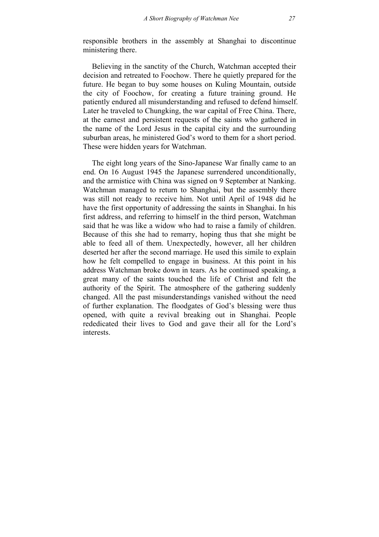responsible brothers in the assembly at Shanghai to discontinue ministering there.

Believing in the sanctity of the Church, Watchman accepted their decision and retreated to Foochow. There he quietly prepared for the future. He began to buy some houses on Kuling Mountain, outside the city of Foochow, for creating a future training ground. He patiently endured all misunderstanding and refused to defend himself. Later he traveled to Chungking, the war capital of Free China. There, at the earnest and persistent requests of the saints who gathered in the name of the Lord Jesus in the capital city and the surrounding suburban areas, he ministered God's word to them for a short period. These were hidden years for Watchman.

The eight long years of the Sino-Japanese War finally came to an end. On 16 August 1945 the Japanese surrendered unconditionally, and the armistice with China was signed on 9 September at Nanking. Watchman managed to return to Shanghai, but the assembly there was still not ready to receive him. Not until April of 1948 did he have the first opportunity of addressing the saints in Shanghai. In his first address, and referring to himself in the third person, Watchman said that he was like a widow who had to raise a family of children. Because of this she had to remarry, hoping thus that she might be able to feed all of them. Unexpectedly, however, all her children deserted her after the second marriage. He used this simile to explain how he felt compelled to engage in business. At this point in his address Watchman broke down in tears. As he continued speaking, a great many of the saints touched the life of Christ and felt the authority of the Spirit. The atmosphere of the gathering suddenly changed. All the past misunderstandings vanished without the need of further explanation. The floodgates of God's blessing were thus opened, with quite a revival breaking out in Shanghai. People rededicated their lives to God and gave their all for the Lord's interests.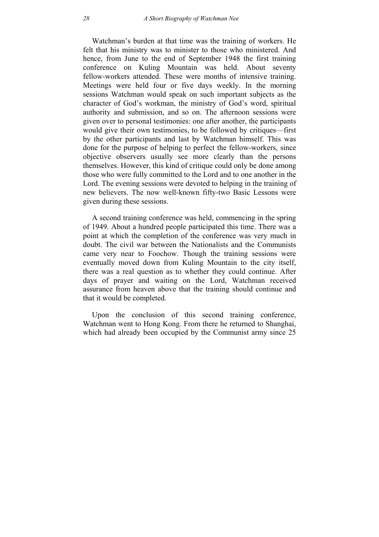Watchman's burden at that time was the training of workers. He felt that his ministry was to minister to those who ministered. And hence, from June to the end of September 1948 the first training conference on Kuling Mountain was held. About seventy fellow-workers attended. These were months of intensive training. Meetings were held four or five days weekly. In the morning sessions Watchman would speak on such important subjects as the character of God's workman, the ministry of God's word, spiritual authority and submission, and so on. The afternoon sessions were given over to personal testimonies: one after another, the participants would give their own testimonies, to be followed by critiques—first by the other participants and last by Watchman himself. This was done for the purpose of helping to perfect the fellow-workers, since objective observers usually see more clearly than the persons themselves. However, this kind of critique could only be done among those who were fully committed to the Lord and to one another in the Lord. The evening sessions were devoted to helping in the training of new believers. The now well-known fifty-two Basic Lessons were given during these sessions.

A second training conference was held, commencing in the spring of 1949. About a hundred people participated this time. There was a point at which the completion of the conference was very much in doubt. The civil war between the Nationalists and the Communists came very near to Foochow. Though the training sessions were eventually moved down from Kuling Mountain to the city itself, there was a real question as to whether they could continue. After days of prayer and waiting on the Lord, Watchman received assurance from heaven above that the training should continue and that it would be completed.

Upon the conclusion of this second training conference, Watchman went to Hong Kong. From there he returned to Shanghai, which had already been occupied by the Communist army since 25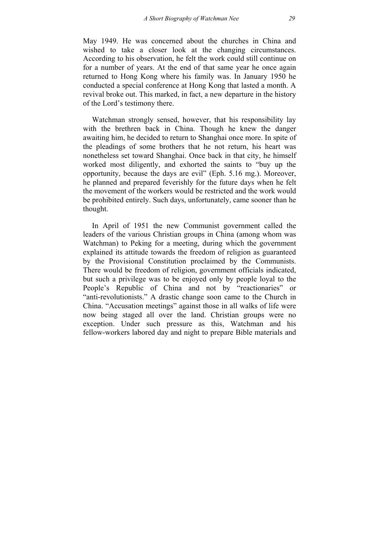May 1949. He was concerned about the churches in China and wished to take a closer look at the changing circumstances. According to his observation, he felt the work could still continue on for a number of years. At the end of that same year he once again returned to Hong Kong where his family was. In January 1950 he conducted a special conference at Hong Kong that lasted a month. A revival broke out. This marked, in fact, a new departure in the history of the Lord's testimony there.

Watchman strongly sensed, however, that his responsibility lay with the brethren back in China. Though he knew the danger awaiting him, he decided to return to Shanghai once more. In spite of the pleadings of some brothers that he not return, his heart was nonetheless set toward Shanghai. Once back in that city, he himself worked most diligently, and exhorted the saints to "buy up the opportunity, because the days are evil" (Eph. 5.16 mg.). Moreover, he planned and prepared feverishly for the future days when he felt the movement of the workers would be restricted and the work would be prohibited entirely. Such days, unfortunately, came sooner than he thought.

In April of 1951 the new Communist government called the leaders of the various Christian groups in China (among whom was Watchman) to Peking for a meeting, during which the government explained its attitude towards the freedom of religion as guaranteed by the Provisional Constitution proclaimed by the Communists. There would be freedom of religion, government officials indicated, but such a privilege was to be enjoyed only by people loyal to the People's Republic of China and not by "reactionaries" or "anti-revolutionists." A drastic change soon came to the Church in China. "Accusation meetings" against those in all walks of life were now being staged all over the land. Christian groups were no exception. Under such pressure as this, Watchman and his fellow-workers labored day and night to prepare Bible materials and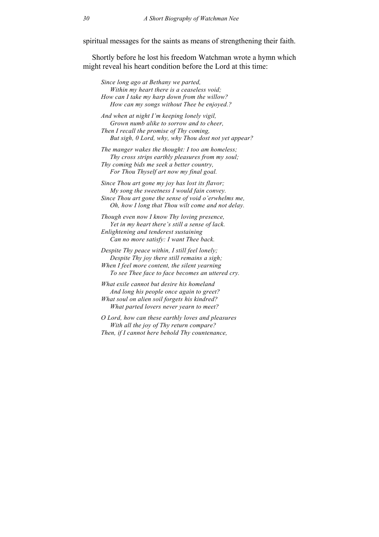spiritual messages for the saints as means of strengthening their faith.

Shortly before he lost his freedom Watchman wrote a hymn which might reveal his heart condition before the Lord at this time:

*Since long ago at Bethany we parted, Within my heart there is a ceaseless void; How can I take my harp down from the willow? How can my songs without Thee be enjoyed.?* 

*And when at night I'm keeping lonely vigil, Grown numb alike to sorrow and to cheer, Then I recall the promise of Thy coming, But sigh, 0 Lord, why, why Thou dost not yet appear?* 

*The manger wakes the thought: I too am homeless; Thy cross strips earthly pleasures from my soul; Thy coming bids me seek a better country, For Thou Thyself art now my final goal.* 

*Since Thou art gone my joy has lost its flavor; My song the sweetness I would fain convey. Since Thou art gone the sense of void o'erwhelms me, Oh, how I long that Thou wilt come and not delay.* 

*Though even now I know Thy loving presence, Yet in my heart there's still a sense of lack. Enlightening and tenderest sustaining Can no more satisfy: I want Thee back.* 

*Despite Thy peace within, I still feel lonely; Despite Thy joy there still remains a sigh; When I feel more content, the silent yearning To see Thee face to face becomes an uttered cry.* 

*What exile cannot but desire his homeland And long his people once again to greet? What soul on alien soil forgets his kindred? What parted lovers never yearn to meet?* 

*O Lord, how can these earthly loves and pleasures With all the joy of Thy return compare? Then, if I cannot here behold Thy countenance,*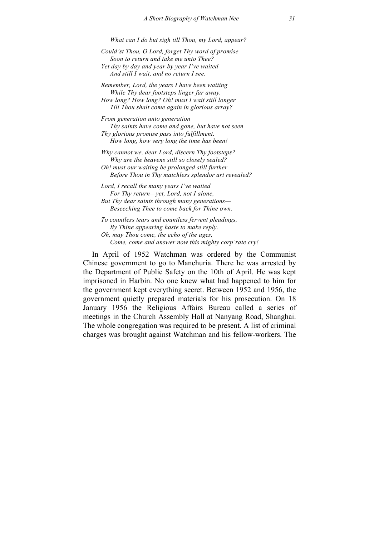*What can I do but sigh till Thou, my Lord, appear?* 

*Could'st Thou, O Lord, forget Thy word of promise Soon to return and take me unto Thee? Yet day by day and year by year I've waited And still I wait, and no return I see.* 

*Remember, Lord, the years I have been waiting While Thy dear footsteps linger far away. How long? How long? Oh! must I wait still longer Till Thou shalt come again in glorious array?* 

*From generation unto generation Thy saints have come and gone, but have not seen Thy glorious promise pass into fulfillment. How long, how very long the time has been!* 

*Why cannot we, dear Lord, discern Thy footsteps? Why are the heavens still so closely sealed? Oh! must our waiting be prolonged still further Before Thou in Thy matchless splendor art revealed?* 

*Lord, I recall the many years I've waited For Thy return—yet, Lord, not I alone, But Thy dear saints through many generations— Beseeching Thee to come back for Thine own.* 

*To countless tears and countless fervent pleadings, By Thine appearing haste to make reply. Oh, may Thou come, the echo of the ages, Come, come and answer now this mighty corp'rate cry!* 

In April of 1952 Watchman was ordered by the Communist Chinese government to go to Manchuria. There he was arrested by the Department of Public Safety on the 10th of April. He was kept imprisoned in Harbin. No one knew what had happened to him for the government kept everything secret. Between 1952 and 1956, the government quietly prepared materials for his prosecution. On 18 January 1956 the Religious Affairs Bureau called a series of meetings in the Church Assembly Hall at Nanyang Road, Shanghai. The whole congregation was required to be present. A list of criminal charges was brought against Watchman and his fellow-workers. The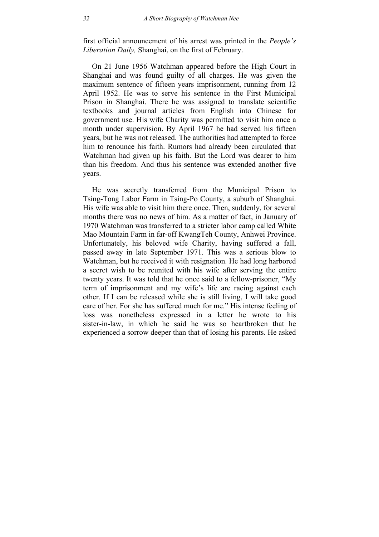first official announcement of his arrest was printed in the *People's Liberation Daily,* Shanghai, on the first of February.

On 21 June 1956 Watchman appeared before the High Court in Shanghai and was found guilty of all charges. He was given the maximum sentence of fifteen years imprisonment, running from 12 April 1952. He was to serve his sentence in the First Municipal Prison in Shanghai. There he was assigned to translate scientific textbooks and journal articles from English into Chinese for government use. His wife Charity was permitted to visit him once a month under supervision. By April 1967 he had served his fifteen years, but he was not released. The authorities had attempted to force him to renounce his faith. Rumors had already been circulated that Watchman had given up his faith. But the Lord was dearer to him than his freedom. And thus his sentence was extended another five years.

He was secretly transferred from the Municipal Prison to Tsing-Tong Labor Farm in Tsing-Po County, a suburb of Shanghai. His wife was able to visit him there once. Then, suddenly, for several months there was no news of him. As a matter of fact, in January of 1970 Watchman was transferred to a stricter labor camp called White Mao Mountain Farm in far-off KwangTeh County, Anhwei Province. Unfortunately, his beloved wife Charity, having suffered a fall, passed away in late September 1971. This was a serious blow to Watchman, but he received it with resignation. He had long harbored a secret wish to be reunited with his wife after serving the entire twenty years. It was told that he once said to a fellow-prisoner, "My term of imprisonment and my wife's life are racing against each other. If I can be released while she is still living, I will take good care of her. For she has suffered much for me." His intense feeling of loss was nonetheless expressed in a letter he wrote to his sister-in-law, in which he said he was so heartbroken that he experienced a sorrow deeper than that of losing his parents. He asked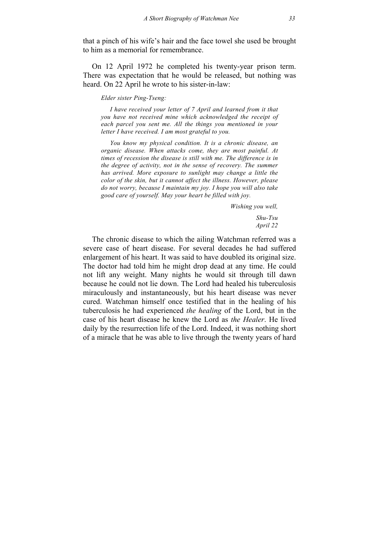that a pinch of his wife's hair and the face towel she used be brought to him as a memorial for remembrance.

On 12 April 1972 he completed his twenty-year prison term. There was expectation that he would be released, but nothing was heard. On 22 April he wrote to his sister-in-law:

## *Elder sister Ping-Tseng:*

*I have received your letter of 7 April and learned from it that you have not received mine which acknowledged the receipt of each parcel you sent me. All the things you mentioned in your letter I have received. I am most grateful to you.* 

*You know my physical condition. It is a chronic disease, an organic disease. When attacks come, they are most painful. At times of recession the disease is still with me. The difference is in the degree of activity, not in the sense of recovery. The summer has arrived. More exposure to sunlight may change a little the color of the skin, but it cannot affect the illness. However, please do not worry, because I maintain my joy. I hope you will also take good care of yourself. May your heart be filled with joy.* 

*Wishing you well,* 

*Shu-Tsu April 22* 

The chronic disease to which the ailing Watchman referred was a severe case of heart disease. For several decades he had suffered enlargement of his heart. It was said to have doubled its original size. The doctor had told him he might drop dead at any time. He could not lift any weight. Many nights he would sit through till dawn because he could not lie down. The Lord had healed his tuberculosis miraculously and instantaneously, but his heart disease was never cured. Watchman himself once testified that in the healing of his tuberculosis he had experienced *the healing* of the Lord, but in the case of his heart disease he knew the Lord as *the Healer*. He lived daily by the resurrection life of the Lord. Indeed, it was nothing short of a miracle that he was able to live through the twenty years of hard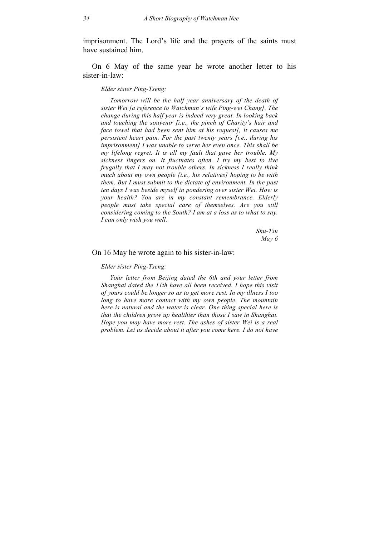imprisonment. The Lord's life and the prayers of the saints must have sustained him.

On 6 May of the same year he wrote another letter to his sister-in-law:

## *Elder sister Ping-Tseng:*

*Tomorrow will be the half year anniversary of the death of sister Wei [a reference to Watchman's wife Ping-wei Chang]. The change during this half year is indeed very great. In looking back and touching the souvenir [i.e., the pinch of Charity's hair and face towel that had been sent him at his request], it causes me persistent heart pain. For the past twenty years [i.e., during his imprisonment] I was unable to serve her even once. This shall be my lifelong regret. It is all my fault that gave her trouble. My sickness lingers on. It fluctuates often. I try my best to live frugally that I may not trouble others. In sickness I really think much about my own people [i.e., his relatives] hoping to be with them. But I must submit to the dictate of environment. In the past ten days I was beside myself in pondering over sister Wei. How is your health? You are in my constant remembrance. Elderly people must take special care of themselves. Are you still considering coming to the South? I am at a loss as to what to say. I can only wish you well.* 

> *Shu-Tsu May 6*

# On 16 May he wrote again to his sister-in-law:

#### *Elder sister Ping-Tseng:*

*Your letter from Beijing dated the 6th and your letter from Shanghai dated the 11th have all been received. I hope this visit of yours could be longer so as to get more rest. In my illness I too long to have more contact with my own people. The mountain here is natural and the water is clear. One thing special here is that the children grow up healthier than those I saw in Shanghai. Hope you may have more rest. The ashes of sister Wei is a real problem. Let us decide about it after you come here. I do not have*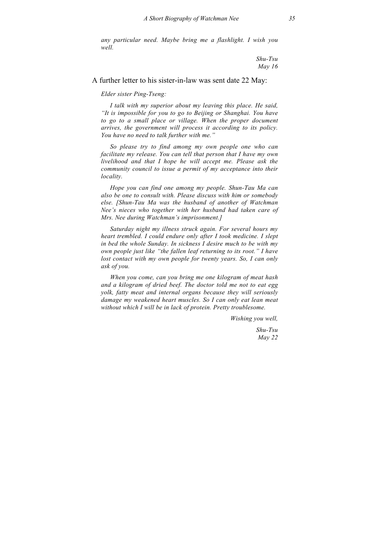*any particular need. Maybe bring me a flashlight. I wish you well.* 

> *Shu-Tsu May 16*

# A further letter to his sister-in-law was sent date 22 May:

*Elder sister Ping-Tseng:* 

*I talk with my superior about my leaving this place. He said, "It is impossible for you to go to Beijing or Shanghai. You have to go to a small place or village. When the proper document arrives, the government will process it according to its policy. You have no need to talk further with me."* 

*So please try to find among my own people one who can facilitate my release. You can tell that person that I have my own livelihood and that I hope he will accept me. Please ask the community council to issue a permit of my acceptance into their locality.* 

*Hope you can find one among my people. Shun-Tau Ma can also be one to consult with. Please discuss with him or somebody else. [Shun-Tau Ma was the husband of another of Watchman Nee's nieces who together with her husband had taken care of Mrs. Nee during Watchman's imprisonment.]* 

*Saturday night my illness struck again. For several hours my heart trembled. I could endure only after I took medicine. I slept in bed the whole Sunday. In sickness I desire much to be with my own people just like "the fallen leaf returning to its root." I have lost contact with my own people for twenty years. So, I can only ask of you.* 

*When you come, can you bring me one kilogram of meat hash and a kilogram of dried beef. The doctor told me not to eat egg yolk, fatty meat and internal organs because they will seriously damage my weakened heart muscles. So I can only eat lean meat without which I will be in lack of protein. Pretty troublesome.* 

*Wishing you well,* 

*Shu-Tsu May 22*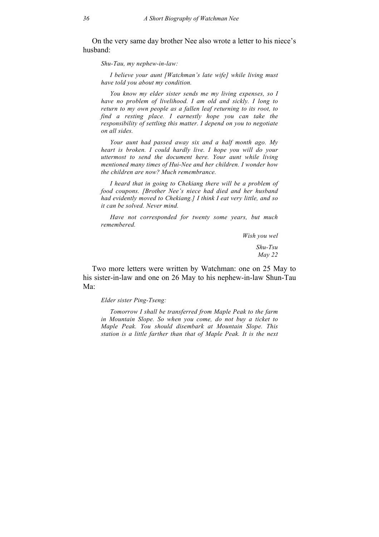On the very same day brother Nee also wrote a letter to his niece's husband:

*Shu-Tau, my nephew-in-law:* 

*I believe your aunt [Watchman's late wife] while living must have told you about my condition.* 

*You know my elder sister sends me my living expenses, so I have no problem of livelihood. I am old and sickly. I long to return to my own people as a fallen leaf returning to its root, to find a resting place. I earnestly hope you can take the responsibility of settling this matter. I depend on you to negotiate on all sides.* 

*Your aunt had passed away six and a half month ago. My heart is broken. I could hardly live. I hope you will do your uttermost to send the document here. Your aunt while living mentioned many times of Hui-Nee and her children. I wonder how the children are now? Much remembrance.* 

*I heard that in going to Chekiang there will be a problem of food coupons. [Brother Nee's niece had died and her husband had evidently moved to Chekiang.] I think I eat very little, and so it can be solved. Never mind.* 

*Have not corresponded for twenty some years, but much remembered.* 

> *Wish you wel Shu-Tsu May 22*

Two more letters were written by Watchman: one on 25 May to his sister-in-law and one on 26 May to his nephew-in-law Shun-Tau Ma:

*Elder sister Ping-Tseng:* 

*Tomorrow I shall be transferred from Maple Peak to the farm in Mountain Slope. So when you come, do not buy a ticket to Maple Peak. You should disembark at Mountain Slope. This station is a little farther than that of Maple Peak. It is the next*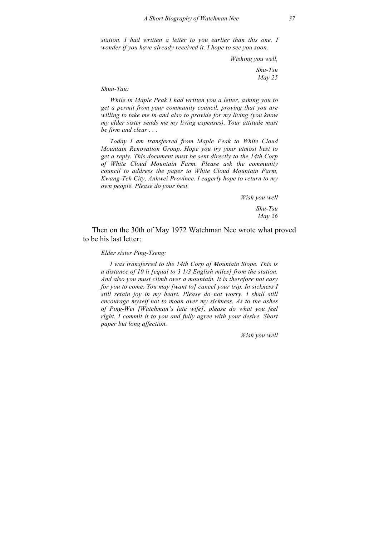*station. I had written a letter to you earlier than this one. I wonder if you have already received it. I hope to see you soon.* 

*Wishing you well,* 

*Shu-Tsu May 25* 

### *Shun-Tau:*

*While in Maple Peak I had written you a letter, asking you to get a permit from your community council, proving that you are willing to take me in and also to provide for my living (you know my elder sister sends me my living expenses). Your attitude must be firm and clear . . .* 

*Today I am transferred from Maple Peak to White Cloud Mountain Renovation Group. Hope you try your utmost best to get a reply. This document must be sent directly to the 14th Corp of White Cloud Mountain Farm. Please ask the community council to address the paper to White Cloud Mountain Farm, Kwang-Teh City, Anhwei Province. I eagerly hope to return to my own people. Please do your best.* 

> *Wish you well Shu-Tsu May 26*

Then on the 30th of May 1972 Watchman Nee wrote what proved to be his last letter:

### *Elder sister Ping-Tseng:*

*I was transferred to the 14th Corp of Mountain Slope. This is a distance of 10 li [equal to 3 1/3 English miles] from the station. And also you must climb over a mountain. It is therefore not easy for you to come. You may [want to] cancel your trip. In sickness I still retain joy in my heart. Please do not worry. I shall still encourage myself not to moan over my sickness. As to the ashes of Ping-Wei [Watchman's late wife], please do what you feel right. I commit it to you and fully agree with your desire. Short paper but long affection.* 

*Wish you well*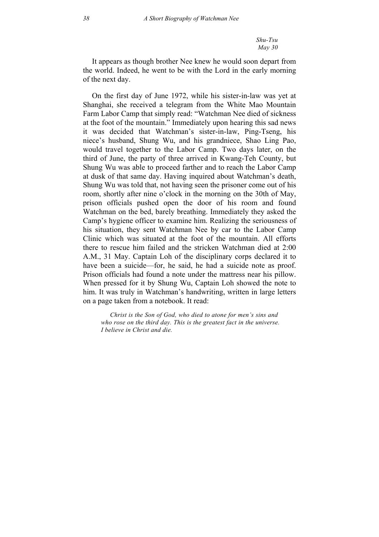*Shu-Tsu May 30* 

It appears as though brother Nee knew he would soon depart from the world. Indeed, he went to be with the Lord in the early morning of the next day.

On the first day of June 1972, while his sister-in-law was yet at Shanghai, she received a telegram from the White Mao Mountain Farm Labor Camp that simply read: "Watchman Nee died of sickness at the foot of the mountain." Immediately upon hearing this sad news it was decided that Watchman's sister-in-law, Ping-Tseng, his niece's husband, Shung Wu, and his grandniece, Shao Ling Pao, would travel together to the Labor Camp. Two days later, on the third of June, the party of three arrived in Kwang-Teh County, but Shung Wu was able to proceed farther and to reach the Labor Camp at dusk of that same day. Having inquired about Watchman's death, Shung Wu was told that, not having seen the prisoner come out of his room, shortly after nine o'clock in the morning on the 30th of May, prison officials pushed open the door of his room and found Watchman on the bed, barely breathing. Immediately they asked the Camp's hygiene officer to examine him. Realizing the seriousness of his situation, they sent Watchman Nee by car to the Labor Camp Clinic which was situated at the foot of the mountain. All efforts there to rescue him failed and the stricken Watchman died at 2:00 A.M., 31 May. Captain Loh of the disciplinary corps declared it to have been a suicide—for, he said, he had a suicide note as proof. Prison officials had found a note under the mattress near his pillow. When pressed for it by Shung Wu, Captain Loh showed the note to him. It was truly in Watchman's handwriting, written in large letters on a page taken from a notebook. It read:

*Christ is the Son of God, who died to atone for men's sins and who rose on the third day. This is the greatest fact in the universe. I believe in Christ and die.*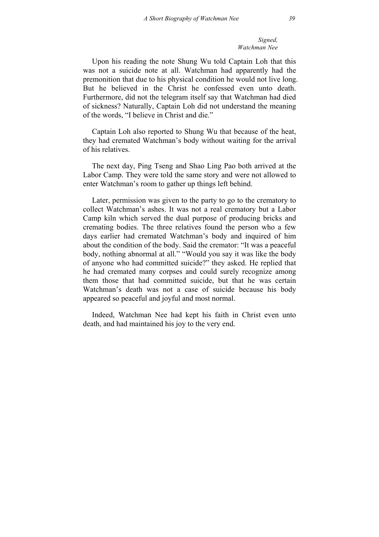*Signed, Watchman Nee* 

Upon his reading the note Shung Wu told Captain Loh that this was not a suicide note at all. Watchman had apparently had the premonition that due to his physical condition he would not live long. But he believed in the Christ he confessed even unto death. Furthermore, did not the telegram itself say that Watchman had died of sickness? Naturally, Captain Loh did not understand the meaning of the words, "I believe in Christ and die."

Captain Loh also reported to Shung Wu that because of the heat, they had cremated Watchman's body without waiting for the arrival of his relatives.

The next day, Ping Tseng and Shao Ling Pao both arrived at the Labor Camp. They were told the same story and were not allowed to enter Watchman's room to gather up things left behind.

Later, permission was given to the party to go to the crematory to collect Watchman's ashes. It was not a real crematory but a Labor Camp kiln which served the dual purpose of producing bricks and cremating bodies. The three relatives found the person who a few days earlier had cremated Watchman's body and inquired of him about the condition of the body. Said the cremator: "It was a peaceful body, nothing abnormal at all." "Would you say it was like the body of anyone who had committed suicide?" they asked. He replied that he had cremated many corpses and could surely recognize among them those that had committed suicide, but that he was certain Watchman's death was not a case of suicide because his body appeared so peaceful and joyful and most normal.

Indeed, Watchman Nee had kept his faith in Christ even unto death, and had maintained his joy to the very end.